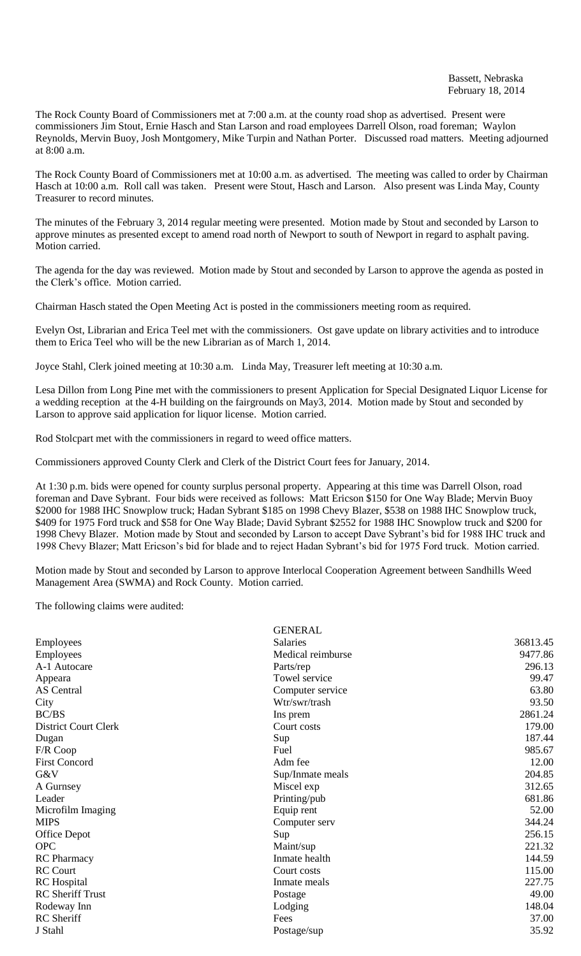The Rock County Board of Commissioners met at 7:00 a.m. at the county road shop as advertised. Present were commissioners Jim Stout, Ernie Hasch and Stan Larson and road employees Darrell Olson, road foreman; Waylon Reynolds, Mervin Buoy, Josh Montgomery, Mike Turpin and Nathan Porter. Discussed road matters. Meeting adjourned at 8:00 a.m.

The Rock County Board of Commissioners met at 10:00 a.m. as advertised. The meeting was called to order by Chairman Hasch at 10:00 a.m. Roll call was taken. Present were Stout, Hasch and Larson. Also present was Linda May, County Treasurer to record minutes.

The minutes of the February 3, 2014 regular meeting were presented. Motion made by Stout and seconded by Larson to approve minutes as presented except to amend road north of Newport to south of Newport in regard to asphalt paving. Motion carried.

The agenda for the day was reviewed. Motion made by Stout and seconded by Larson to approve the agenda as posted in the Clerk's office. Motion carried.

Chairman Hasch stated the Open Meeting Act is posted in the commissioners meeting room as required.

Evelyn Ost, Librarian and Erica Teel met with the commissioners. Ost gave update on library activities and to introduce them to Erica Teel who will be the new Librarian as of March 1, 2014.

Joyce Stahl, Clerk joined meeting at 10:30 a.m. Linda May, Treasurer left meeting at 10:30 a.m.

Lesa Dillon from Long Pine met with the commissioners to present Application for Special Designated Liquor License for a wedding reception at the 4-H building on the fairgrounds on May3, 2014. Motion made by Stout and seconded by Larson to approve said application for liquor license. Motion carried.

Rod Stolcpart met with the commissioners in regard to weed office matters.

Commissioners approved County Clerk and Clerk of the District Court fees for January, 2014.

At 1:30 p.m. bids were opened for county surplus personal property. Appearing at this time was Darrell Olson, road foreman and Dave Sybrant. Four bids were received as follows: Matt Ericson \$150 for One Way Blade; Mervin Buoy \$2000 for 1988 IHC Snowplow truck; Hadan Sybrant \$185 on 1998 Chevy Blazer, \$538 on 1988 IHC Snowplow truck, \$409 for 1975 Ford truck and \$58 for One Way Blade; David Sybrant \$2552 for 1988 IHC Snowplow truck and \$200 for 1998 Chevy Blazer. Motion made by Stout and seconded by Larson to accept Dave Sybrant's bid for 1988 IHC truck and 1998 Chevy Blazer; Matt Ericson's bid for blade and to reject Hadan Sybrant's bid for 1975 Ford truck. Motion carried.

Motion made by Stout and seconded by Larson to approve Interlocal Cooperation Agreement between Sandhills Weed Management Area (SWMA) and Rock County. Motion carried.

The following claims were audited:

| <b>GENERAL</b>    |          |
|-------------------|----------|
| <b>Salaries</b>   | 36813.45 |
| Medical reimburse | 9477.86  |
| Parts/rep         | 296.13   |
| Towel service     | 99.47    |
| Computer service  | 63.80    |
| Wtr/swr/trash     | 93.50    |
| Ins prem          | 2861.24  |
| Court costs       | 179.00   |
| Sup               | 187.44   |
| Fuel              | 985.67   |
| Adm fee           | 12.00    |
| Sup/Inmate meals  | 204.85   |
| Miscel exp        | 312.65   |
| Printing/pub      | 681.86   |
| Equip rent        | 52.00    |
| Computer serv     | 344.24   |
| Sup               | 256.15   |
| Maint/sup         | 221.32   |
| Inmate health     | 144.59   |
| Court costs       | 115.00   |
| Inmate meals      | 227.75   |
| Postage           | 49.00    |
| Lodging           | 148.04   |
| Fees              | 37.00    |
| Postage/sup       | 35.92    |
|                   |          |